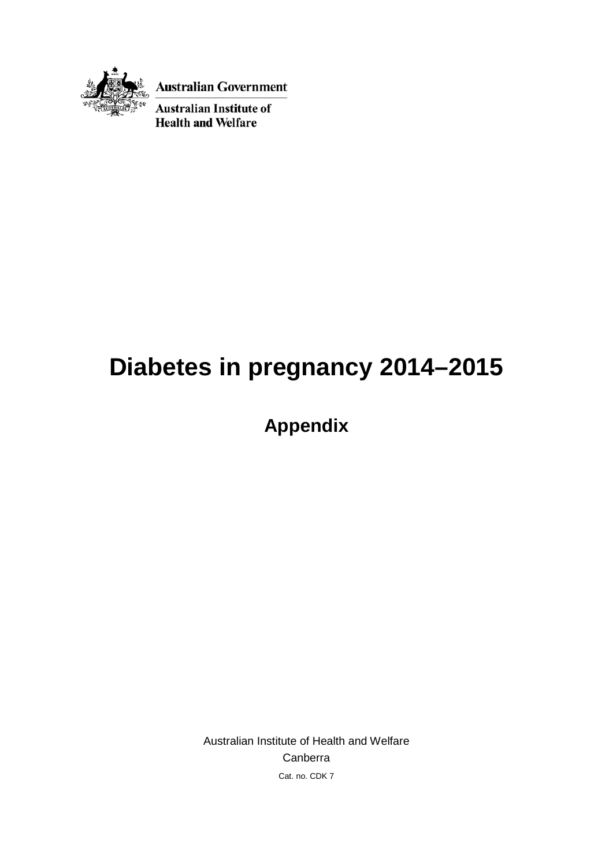

**Australian Government** 

**Australian Institute of Health and Welfare** 

# **Diabetes in pregnancy 2014–2015**

**Appendix**

Australian Institute of Health and Welfare Canberra Cat. no. CDK 7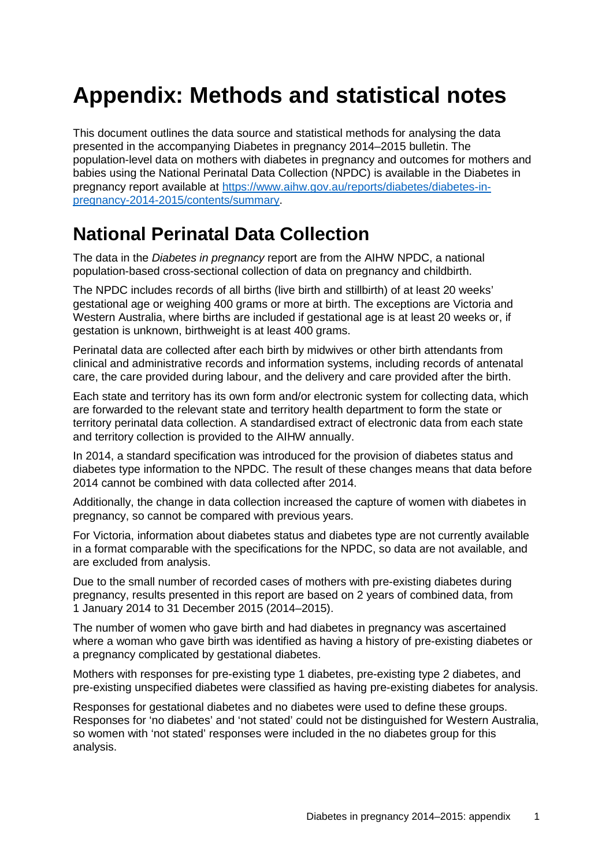## **Appendix: Methods and statistical notes**

This document outlines the data source and statistical methods for analysing the data presented in the accompanying Diabetes in pregnancy 2014–2015 bulletin. The population-level data on mothers with diabetes in pregnancy and outcomes for mothers and babies using the National Perinatal Data Collection (NPDC) is available in the Diabetes in pregnancy report available at [https://www.aihw.gov.au/reports/diabetes/diabetes-in](https://www.aihw.gov.au/reports/diabetes/diabetes-in-pregnancy-2014-2015/contents/summary)[pregnancy-2014-2015/contents/summary.](https://www.aihw.gov.au/reports/diabetes/diabetes-in-pregnancy-2014-2015/contents/summary)

### **National Perinatal Data Collection**

The data in the *Diabetes in pregnancy* report are from the AIHW NPDC, a national population-based cross-sectional collection of data on pregnancy and childbirth.

The NPDC includes records of all births (live birth and stillbirth) of at least 20 weeks' gestational age or weighing 400 grams or more at birth. The exceptions are Victoria and Western Australia, where births are included if gestational age is at least 20 weeks or, if gestation is unknown, birthweight is at least 400 grams.

Perinatal data are collected after each birth by midwives or other birth attendants from clinical and administrative records and information systems, including records of antenatal care, the care provided during labour, and the delivery and care provided after the birth.

Each state and territory has its own form and/or electronic system for collecting data, which are forwarded to the relevant state and territory health department to form the state or territory perinatal data collection. A standardised extract of electronic data from each state and territory collection is provided to the AIHW annually.

In 2014, a standard specification was introduced for the provision of diabetes status and diabetes type information to the NPDC. The result of these changes means that data before 2014 cannot be combined with data collected after 2014.

Additionally, the change in data collection increased the capture of women with diabetes in pregnancy, so cannot be compared with previous years.

For Victoria, information about diabetes status and diabetes type are not currently available in a format comparable with the specifications for the NPDC, so data are not available, and are excluded from analysis.

Due to the small number of recorded cases of mothers with pre-existing diabetes during pregnancy, results presented in this report are based on 2 years of combined data, from 1 January 2014 to 31 December 2015 (2014–2015).

The number of women who gave birth and had diabetes in pregnancy was ascertained where a woman who gave birth was identified as having a history of pre-existing diabetes or a pregnancy complicated by gestational diabetes.

Mothers with responses for pre-existing type 1 diabetes, pre-existing type 2 diabetes, and pre-existing unspecified diabetes were classified as having pre-existing diabetes for analysis.

Responses for gestational diabetes and no diabetes were used to define these groups. Responses for 'no diabetes' and 'not stated' could not be distinguished for Western Australia, so women with 'not stated' responses were included in the no diabetes group for this analysis.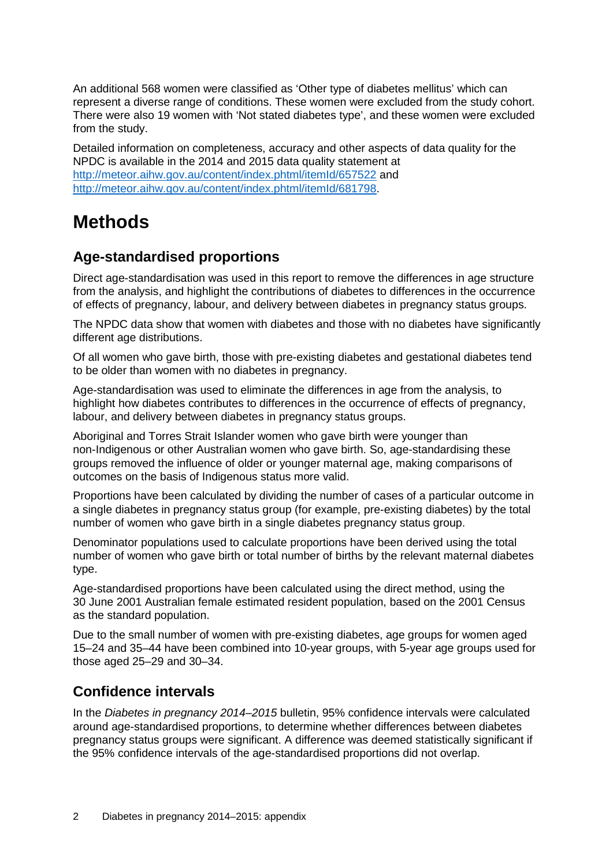An additional 568 women were classified as 'Other type of diabetes mellitus' which can represent a diverse range of conditions. These women were excluded from the study cohort. There were also 19 women with 'Not stated diabetes type', and these women were excluded from the study.

Detailed information on completeness, accuracy and other aspects of data quality for the NPDC is available in the 2014 and 2015 data quality statement at <http://meteor.aihw.gov.au/content/index.phtml/itemId/657522> and [http://meteor.aihw.gov.au/content/index.phtml/itemId/681798.](http://meteor.aihw.gov.au/content/index.phtml/itemId/681798)

### **Methods**

#### **Age-standardised proportions**

Direct age-standardisation was used in this report to remove the differences in age structure from the analysis, and highlight the contributions of diabetes to differences in the occurrence of effects of pregnancy, labour, and delivery between diabetes in pregnancy status groups.

The NPDC data show that women with diabetes and those with no diabetes have significantly different age distributions.

Of all women who gave birth, those with pre-existing diabetes and gestational diabetes tend to be older than women with no diabetes in pregnancy.

Age-standardisation was used to eliminate the differences in age from the analysis, to highlight how diabetes contributes to differences in the occurrence of effects of pregnancy, labour, and delivery between diabetes in pregnancy status groups.

Aboriginal and Torres Strait Islander women who gave birth were younger than non-Indigenous or other Australian women who gave birth. So, age-standardising these groups removed the influence of older or younger maternal age, making comparisons of outcomes on the basis of Indigenous status more valid.

Proportions have been calculated by dividing the number of cases of a particular outcome in a single diabetes in pregnancy status group (for example, pre-existing diabetes) by the total number of women who gave birth in a single diabetes pregnancy status group.

Denominator populations used to calculate proportions have been derived using the total number of women who gave birth or total number of births by the relevant maternal diabetes type.

Age-standardised proportions have been calculated using the direct method, using the 30 June 2001 Australian female estimated resident population, based on the 2001 Census as the standard population.

Due to the small number of women with pre-existing diabetes, age groups for women aged 15–24 and 35–44 have been combined into 10-year groups, with 5-year age groups used for those aged 25–29 and 30–34.

#### **Confidence intervals**

In the *Diabetes in pregnancy 2014–2015* bulletin, 95% confidence intervals were calculated around age-standardised proportions, to determine whether differences between diabetes pregnancy status groups were significant. A difference was deemed statistically significant if the 95% confidence intervals of the age-standardised proportions did not overlap.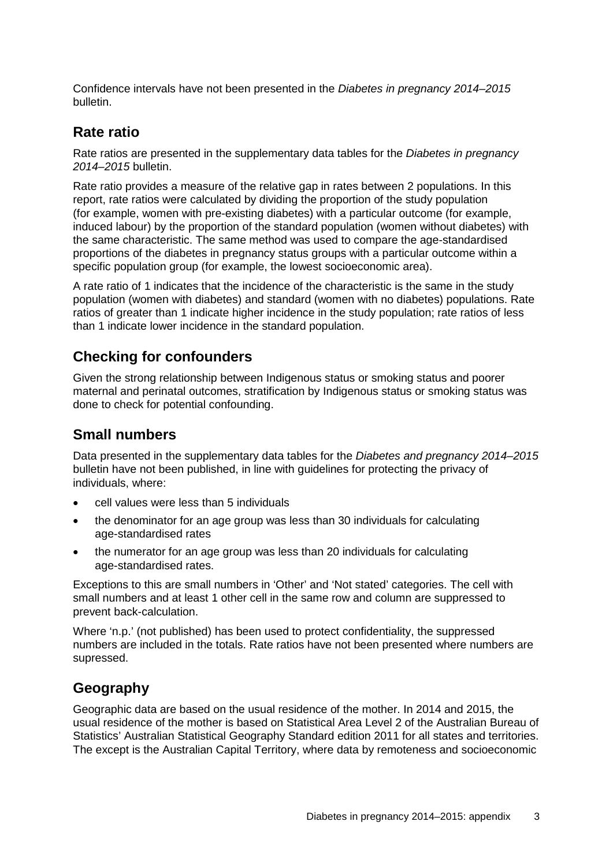Confidence intervals have not been presented in the *Diabetes in pregnancy 2014–2015* bulletin.

#### **Rate ratio**

Rate ratios are presented in the supplementary data tables for the *Diabetes in pregnancy 2014–2015* bulletin.

Rate ratio provides a measure of the relative gap in rates between 2 populations. In this report, rate ratios were calculated by dividing the proportion of the study population (for example, women with pre-existing diabetes) with a particular outcome (for example, induced labour) by the proportion of the standard population (women without diabetes) with the same characteristic. The same method was used to compare the age-standardised proportions of the diabetes in pregnancy status groups with a particular outcome within a specific population group (for example, the lowest socioeconomic area).

A rate ratio of 1 indicates that the incidence of the characteristic is the same in the study population (women with diabetes) and standard (women with no diabetes) populations. Rate ratios of greater than 1 indicate higher incidence in the study population; rate ratios of less than 1 indicate lower incidence in the standard population.

#### **Checking for confounders**

Given the strong relationship between Indigenous status or smoking status and poorer maternal and perinatal outcomes, stratification by Indigenous status or smoking status was done to check for potential confounding.

#### **Small numbers**

Data presented in the supplementary data tables for the *Diabetes and pregnancy 2014–2015* bulletin have not been published, in line with guidelines for protecting the privacy of individuals, where:

- cell values were less than 5 individuals
- the denominator for an age group was less than 30 individuals for calculating age-standardised rates
- the numerator for an age group was less than 20 individuals for calculating age-standardised rates.

Exceptions to this are small numbers in 'Other' and 'Not stated' categories. The cell with small numbers and at least 1 other cell in the same row and column are suppressed to prevent back-calculation.

Where 'n.p.' (not published) has been used to protect confidentiality, the suppressed numbers are included in the totals. Rate ratios have not been presented where numbers are supressed.

#### **Geography**

Geographic data are based on the usual residence of the mother. In 2014 and 2015, the usual residence of the mother is based on Statistical Area Level 2 of the Australian Bureau of Statistics' Australian Statistical Geography Standard edition 2011 for all states and territories. The except is the Australian Capital Territory, where data by remoteness and socioeconomic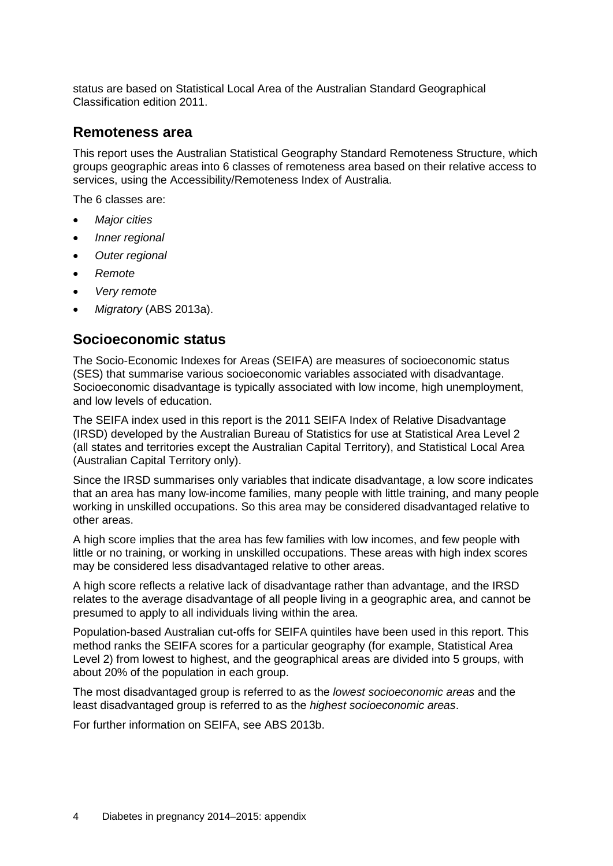status are based on Statistical Local Area of the Australian Standard Geographical Classification edition 2011.

#### **Remoteness area**

This report uses the Australian Statistical Geography Standard Remoteness Structure, which groups geographic areas into 6 classes of remoteness area based on their relative access to services, using the Accessibility/Remoteness Index of Australia.

The 6 classes are:

- *Major cities*
- *Inner regional*
- *Outer regional*
- *Remote*
- *Very remote*
- *Migratory* (ABS 2013a).

#### **Socioeconomic status**

The Socio-Economic Indexes for Areas (SEIFA) are measures of socioeconomic status (SES) that summarise various socioeconomic variables associated with disadvantage. Socioeconomic disadvantage is typically associated with low income, high unemployment, and low levels of education.

The SEIFA index used in this report is the 2011 SEIFA Index of Relative Disadvantage (IRSD) developed by the Australian Bureau of Statistics for use at Statistical Area Level 2 (all states and territories except the Australian Capital Territory), and Statistical Local Area (Australian Capital Territory only).

Since the IRSD summarises only variables that indicate disadvantage, a low score indicates that an area has many low-income families, many people with little training, and many people working in unskilled occupations. So this area may be considered disadvantaged relative to other areas.

A high score implies that the area has few families with low incomes, and few people with little or no training, or working in unskilled occupations. These areas with high index scores may be considered less disadvantaged relative to other areas.

A high score reflects a relative lack of disadvantage rather than advantage, and the IRSD relates to the average disadvantage of all people living in a geographic area, and cannot be presumed to apply to all individuals living within the area.

Population-based Australian cut-offs for SEIFA quintiles have been used in this report. This method ranks the SEIFA scores for a particular geography (for example, Statistical Area Level 2) from lowest to highest, and the geographical areas are divided into 5 groups, with about 20% of the population in each group.

The most disadvantaged group is referred to as the *lowest socioeconomic areas* and the least disadvantaged group is referred to as the *highest socioeconomic areas*.

For further information on SEIFA, see ABS 2013b.